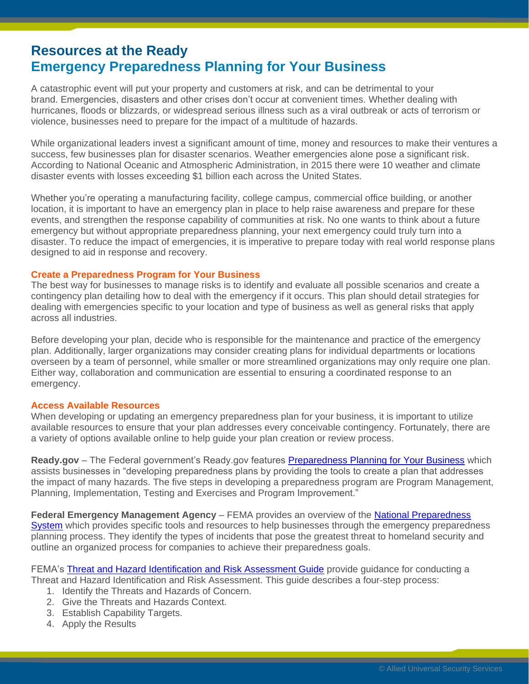## **Resources at the Ready Emergency Preparedness Planning for Your Business**

 A catastrophic event will put your property and customers at risk, and can be detrimental to your violence, businesses need to prepare for the impact of a multitude of hazards. brand. Emergencies, disasters and other crises don't occur at convenient times. Whether dealing with hurricanes, floods or blizzards, or widespread serious illness such as a viral outbreak or acts of terrorism or

violence, businesses need to prepare for the impact of a multitude of hazards.<br>While organizational leaders invest a significant amount of time, money and resources to make their ventures a According to National Oceanic and Atmospheric Administration, in 2015 there were 10 weather and climate success, few businesses plan for disaster scenarios. Weather emergencies alone pose a significant risk. disaster events with losses exceeding \$1 billion each across the United States.

Whether you're operating a manufacturing facility, college campus, commercial office building, or another location, it is important to have an emergency plan in place to help raise awareness and prepare for these events, and strengthen the response capability of communities at risk. No one wants to think about a future emergency but without appropriate preparedness planning, your next emergency could truly turn into a disaster. To reduce the impact of emergencies, it is imperative to prepare today with real world response plans designed to aid in response and recovery.

## **Create a Preparedness Program for Your Business**

The best way for businesses to manage risks is to identify and evaluate all possible scenarios and create a contingency plan detailing how to deal with the emergency if it occurs. This plan should detail strategies for dealing with emergencies specific to your location and type of business as well as general risks that apply across all industries.

Before developing your plan, decide who is responsible for the maintenance and practice of the emergency plan. Additionally, larger organizations may consider creating plans for individual departments or locations overseen by a team of personnel, while smaller or more streamlined organizations may only require one plan. Either way, collaboration and communication are essential to ensuring a coordinated response to an emergency.

## **Access Available Resources**

 available resources to ensure that your plan addresses every conceivable contingency. Fortunately, there are When developing or updating an emergency preparedness plan for your business, it is important to utilize a variety of options available online to help guide your plan creation or review process.

[Ready.gov](https://Ready.gov) - The Federal government's [Ready.gov](https://Ready.gov) features **Preparedness Planning for Your Business** which assists businesses in "developing preparedness plans by providing the tools to create a plan that addresses the impact of many hazards. The five steps in developing a preparedness program are Program Management, Planning, Implementation, Testing and Exercises and Program Improvement."

Federal Emergency Management Agency - FEMA provides an overview of the **National Preparedness**  outline an organized process for companies to achieve their preparedness goals. [System](http://www.fema.gov/national-preparedness-system) which provides specific tools and resources to help businesses through the emergency preparedness planning process. They identify the types of incidents that pose the greatest threat to homeland security and

FEMA's [Threat and Hazard Identification and Risk Assessment Guide](http://www.fema.gov/media-library-data/8ca0a9e54dc8b037a55b402b2a269e94/CPG201_htirag_2nd_edition.pdf) provide guidance for conducting a Threat and Hazard Identification and Risk Assessment. This guide describes a four-step process:

- 1. Identify the Threats and Hazards of Concern.
- 2. Give the Threats and Hazards Context.
- 3. Establish Capability Targets.
- 4. Apply the Results